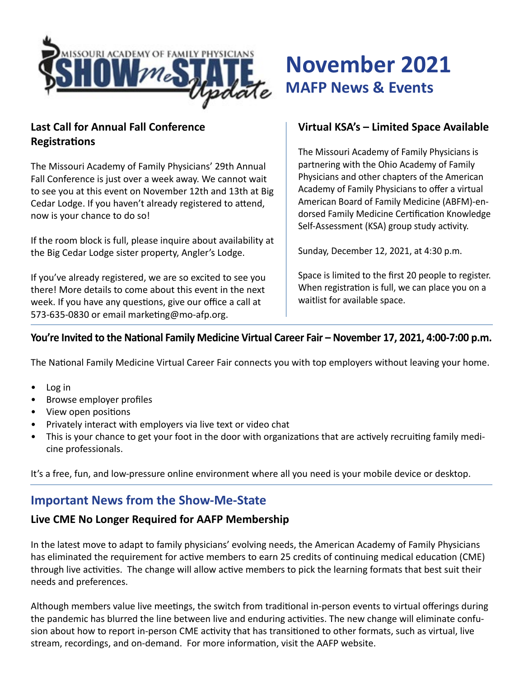

## **Last Call for Annual Fall Conference Registrations**

The Missouri Academy of Family Physicians' 29th Annual Fall Conference is just over a week away. We cannot wait to see you at this event on November 12th and 13th at Big Cedar Lodge. If you haven't already registered to attend, now is your chance to do so!

If the room block is full, please inquire about availability at the Big Cedar Lodge sister property, Angler's Lodge.

If you've already registered, we are so excited to see you there! More details to come about this event in the next week. If you have any questions, give our office a call at 573-635-0830 or email marketing@mo-afp.org.

# **November 2021 MAFP News & Events**

## **Virtual KSA's – Limited Space Available**

The Missouri Academy of Family Physicians is partnering with the Ohio Academy of Family Physicians and other chapters of the American Academy of Family Physicians to offer a virtual American Board of Family Medicine (ABFM)-endorsed Family Medicine Certification Knowledge Self-Assessment (KSA) group study activity.

Sunday, December 12, 2021, at 4:30 p.m.

Space is limited to the first 20 people to register. When registration is full, we can place you on a waitlist for available space.

## **You're Invited to the National Family Medicine Virtual Career Fair – November 17, 2021, 4:00-7:00 p.m.**

The National Family Medicine Virtual Career Fair connects you with top employers without leaving your home.

- Log in
- Browse employer profiles
- View open positions
- Privately interact with employers via live text or video chat
- This is your chance to get your foot in the door with organizations that are actively recruiting family medicine professionals.

It's a free, fun, and low-pressure online environment where all you need is your mobile device or desktop.

## **Important News from the Show-Me-State**

#### **Live CME No Longer Required for AAFP Membership**

In the latest move to adapt to family physicians' evolving needs, the American Academy of Family Physicians has eliminated the requirement for active members to earn 25 credits of continuing medical education (CME) through live activities. The change will allow active members to pick the learning formats that best suit their needs and preferences.

Although members value live meetings, the switch from traditional in-person events to virtual offerings during the pandemic has blurred the line between live and enduring activities. The new change will eliminate confusion about how to report in-person CME activity that has transitioned to other formats, such as virtual, live stream, recordings, and on-demand. For more information, visit the AAFP website.